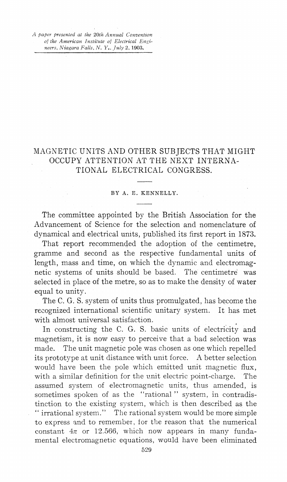## MAGNETIC UNITS AND OTHER SUBJECTS THAT MIGHT OCCUPY ATTENTION AT THE NEXT INTERNA-TIONAL ELECTRICAL CONGRESS.

## BY A. E. KENNELLY,

The committee appointed by the British Association for the Advancement of Science for the selection and nomenclature of dynamical and electrical units, published its first report in 1873.

That report recommended the adoption of the centimetre, gramme and second as the respective fundamental units of length, mass and time, on which the dynamic and electromagnetic systems of units should be based. The' centimetre' was selected in place of the metre, so as to make the density of water equal to unity.

The C. G. S. system of units thus promulgated, has become the recognized international scientific unitary system. It has met with almost universal satisfaction.

In constructing the C. G. S. basic units of electricity and magnetism, it is now easy to perceive that a bad selection was made. The unit magnetic pole was chosen as one which repelled its prototype at unit distance with unit force. A better selection would have been the pole which emitted unit magnetic flux, with a similar definition for the unit electric point-charge. The assumed system of electromagnetic units, thus amended, is sometimes spoken of as the "rational" system, in contradistinction to the existing system, which is then described as the " irrational system." The rational system would be more simple to express and to remember, for the reason that the numerical constant  $4\pi$  or 12.566, which now appears in many fundamental electromagnetic equations, would have been eliminated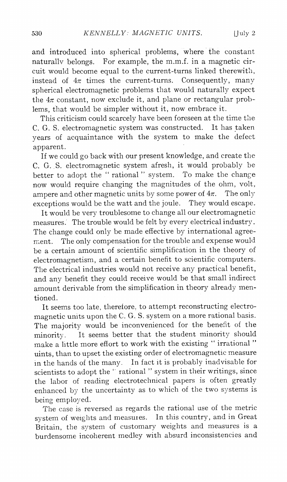and introduced into spherical problems, where the constant naturallv belongs. For example, the m.m.f. in a magnetic circuit would become equal to the current-turns linked therewith, instead of  $4\pi$  times the current-turns. Consequently, many spherical electromagnetic problems that would naturally expect the  $4\pi$  constant, now exclude it, and plane or rectangular problems, that would be simpler without it, now embrace it.

This criticism could scarcely have been foreseen at the time the C. G. S. electromagnetic system was constructed. It has taken years of acquaintance with the system to make the defect apparent.

If we could go back with our present knowledge, and create the C. G. S. electromagnetic system afresh, it would probably be better to adopt the " rational " system. To make the change now would require changing the magnitudes of the ohm, volt, ampere and other magnetic units by some power of  $4\pi$ . The only exceptions would be the watt and the joule. They would escape.

It would be very troublesome to change all our electromagnetic measures. The trouble would be felt by every electrical industry. The change could only be made effective by international agreement. The only compensation for the trouble and expense would be a certain amount of scientific simplificatioon in the theory of electromagnetism, and a certain benefit to scientific computers. The electrical industries would not receive any practical benefit, and any benefit they could receive would be that small indirect amount derivable from the simplification in theory already mentioned.

It seems too late, therefore. to attempt reconstructing electromagnetic units upon the C. G. S. system on <sup>a</sup> more rational basis. The majority would be inconvenienced for the benefit of the minority. It seems better that the student minority should make a little more effort to work with the existing " irrational" uints, than to upset the existing order of electromagnetic measure in the hands of the many. In fact it is probably inadvisable for scientists to adopt the " rational " system in their writings, since the labor of reading electrotechnical papers is often greatly enhanced by the uncertainty as to which of the two systems is being employed.

The case is reversed as regards the rational use of the metric system of weights and measures. In this country, and in Great Britain, the system of customary weights and measures is a burdensome incoherent medley with absurd inconsistencies and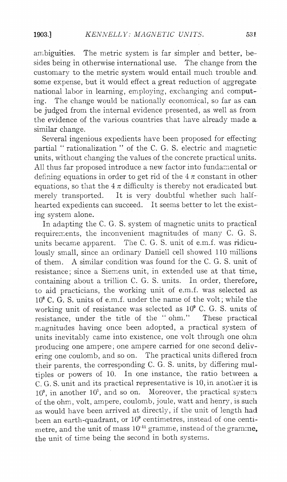ambiguities. The metric system is far simpler and better, besides being in otherwise international use. The change from the customary to the metric system would entail much trouble and. some expense, but it would effect a great reduction of aggregate national labor in learning, employing, exchanging and computing. The change would be nationally economical, so far as can be judged from the internal evidence presented, as well as from the evidence of the various countries that have already made asimilar change.

Several ingenious expedients have been proposed for effecting partial " rationalization " of the C. G. S. electric and magnetic units, without changing the values of the concrete practical units. All thus far proposed introduce a new factor into fundamental ordefining equations in order to get rid of the  $4\pi$  constant in other equations, so that the  $4\pi$  difficulty is thereby not eradicated but. merely transported. It is very doubtful whether such halfhearted expedients can succeed. It seems better to let the existing system alone.

In adapting the C. G. S. system of magnetic units to practical requirements, the inconvenient magnitudes of many C. G. S. units became apparent. The C. G. S. unit of e.m.f. was ridiculously small, since an ordinary Daniell cell showed 110 millions of them. A similar condition was found for the C. G. S. unit of resistance; since a Siemens unit, in extended use at that time, containing about a trillion C. G. S. units. In order, therefore, to aid practicians, the working unit of e.m.f. was selected as  $10^8$  C. G. S. units of e.m.f. under the name of the volt; while the working unit of resistance was selected as <sup>109</sup> C. G. S. units of resistance, under the title of the "ohm." These practical magnitudes having once been adopted, a practical system of units inevitably came into existence, one volt through one ohm producing one ampere; one ampere carried for one second delivering one coulomb, and so on. The practical units differed from their parents, the corresponding C. G. S. units, by differing multiples or powers of 10. In one instance, the ratio between a  $C$ . G. S. unit and its practical representative is 10, in another it is  $10<sup>9</sup>$ , in another  $10<sup>7</sup>$ , and so on. Moreover, the practical system of the ohm, volt, ampere, coulomb, joule, watt and henry, is such as would have been arrived at directly, if the unit of length had been an earth-quadrant, or 10<sup>9</sup> centimetres, instead of one centimetre, and the unit of mass  $10^{-11}$  gramme, instead of the gramme, the unit of time being the second in both systems.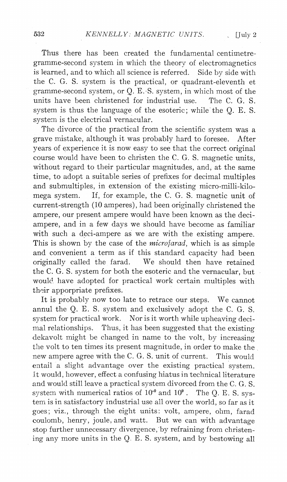Thus there has been created the fundamental centimetregramme-second system in which the theory of electromagnetics is learned, and to which all science is referred. Side by side with the C. G. S. system is the practical, or quadrant-eleventh et gramme-second system, or Q. E. S. system, in which most of the units have been christened for industrial use. The C. G. S. system is thus the language of the esoteric; while'the Q. E. S. system is the electrical vernacular.

The divorce of the practical from the scientific system was a grave mistake, although it was probably hard to foresee. After years of experience it is now easy to see that the correct original course would have been to christen the C. G. S. magnetic units, without regard to their particular magnitudes, and, at the same time, to adopt a suitable series of prefixes for decimal multiples and submultiples, in extension of the existing micro-milli-kilomega system. If, for example, the C. G. S. magnetic unit of current-strength (10 amperes), had been originally christened the ampere, our present ampere would have been known as the deciampere, and in a few days we should have become as familiar with such a deci-ampere as we are with the existing ampere. This is shown by the case of the *microfarad*, which is as simple and convenient a term as if this standard capacity had been originally called the farad. We should then have retained the C. G. S. system for both the esoteric and the vernacular, but would have adopted for practical work certain multiples with their apporpriate prefixes.

It is probably now too late to retrace our steps. We cannot annul the Q. E. S. system and exclusively adopt the C. G. S. system for practical work. Nor is it worth while upheaving decimal relationships. Thus, it has been suggested that the existing dekavolt might be changed in name to the volt, by increasing the volt to ten times its present magnitude, in order to make the new ampere agree with the C. G. S. unit of current. This would entail a slight advantage over the existing practical system. It would, however, effect a confusing hiatus in technical literature and would still leave a practical system divorced from the C. G. S. system with numerical ratios of  $10^9$  and  $10^9$ . The Q. E. S. system is in satisfactory industrial use all over the world, so far as it goes; viz., through the eight units: volt, ampere, ohm, farad coulomb, henry, joule, and watt. But we can with advantage stop further unnecessary divergence, by refraining from christening any more units in the Q. E. S. system, and by bestowing all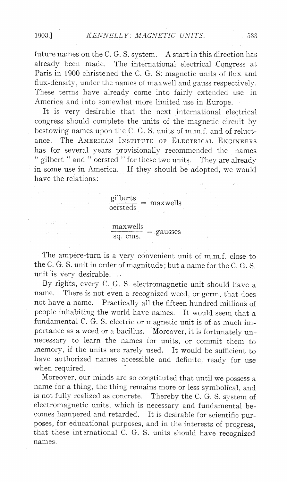future names on the C. G. S. system. A start in this direction has already been made. <sup>T</sup>'he international electrical Congress at Paris in 1900 christened the C. G. S; magnetic units of flux and flux-density, under the names of maxwell and gauss respectively. These terms have already come into fairly extended use in America and into somewhat more limited use in Europe.

It is very desirable that the next international electrical congress should complete the units of the magnetic circuit by bestowing names upon the C. G. S. units of m.m.f. and of reluctance. The AMERICAN INSTITUTE OF ELECTRICAL ENGINEERS has for several years provisionally recommended the names " gilbert " and " oersted " for these two units. They are already in sorne use in America. If they should be adopted, we would have the relations:

 $\frac{\text{gilberts}}{\text{s}} = \text{maxwells}$ 

## maxwells  $=$  gausses sq. cms.

The ampere-turn is <sup>a</sup> very convenient unit of m.m.f. close to the C. G. S. unit in order of magnitude; but a name for the C. G. S. unit is very desirable.

By rights, every C. G. S. electromagnetic unit should have a name. There is not even a recognized weed, or germ, that does not have a name. Practically all the fifteen hundred millions of people inhabiting the world have names. It would seem that a fundamental C. G. S. electric or magnetic unit is of as much importance as a weed or a bacillus. Moreover, it is fortunately unnecessary to learn the names for units, or commit them to memory, if the units are rarely used. It would be sufficient to have authorized names accessible and definite, ready for use when required.

Moreover, our minds are so constituted that until we possess a name for <sup>a</sup> thing, the thing remains more or less symbolical, and is not fully realized as concrete. Thereby the C. G. S. system of electromagnetic units, which is necessary and fundamental becomes hampered and retarded. It is desirable for scientific purposes, for educational purposes, and in the interests of progress, that these international C. G. S. units should have recognized names.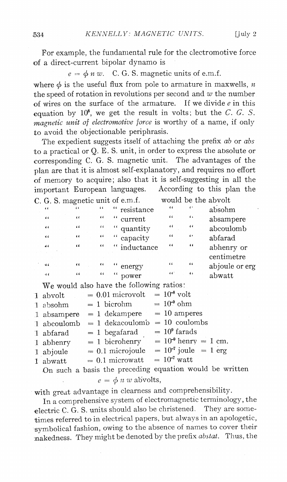For example, the fundamental rule for the electromotive force of a direct-current bipolar dynamo is

 $e = \phi \cdot n \cdot w$ . C. G. S. magnetic units of e.m.f.

where  $\phi$  is the useful flux from pole to armature in maxwells, *n* the speed of rotation in revolutions per second and  $w$  the number of wires on the surface of the armature. If we divide  $e$  in this equation by  $10^8$ , we get the result in volts; but the C. G. S. magnetic unit of electromotive force is worthy of a name, if only to avoid the objectionable periphrasis.

The expedient suggests itself of attaching the prefix ab or abs to a practical or Q. E. S. unit, in order to express the absolute or corresponding C. G. S. magnetic unit. The advantages of the plan are that it is almost self-explanatory, and requires no effort of memory to acquire; also that it is self-suggesting in all the important European languages. According to this plan the<br>C.C.C. increases which a mould be the chycli-

|                |  |            |              |              | C. G. S. magnetic unit of e.m.f. |            |                  | would be the abvolt |
|----------------|--|------------|--------------|--------------|----------------------------------|------------|------------------|---------------------|
| $\epsilon$     |  | $\epsilon$ | $\leftarrow$ |              | " resistance                     | $\epsilon$ | $\epsilon$       | absohm              |
| $\overline{4}$ |  | $\epsilon$ | $\iota$      |              | " current                        | $\epsilon$ | $\ddot{\bullet}$ | absampere           |
| $\epsilon$     |  | $\epsilon$ | $\leftarrow$ | $\epsilon$   | quantity                         | $\epsilon$ | $\epsilon$       | abcoulomb           |
| 46             |  | $\epsilon$ | $\epsilon$   |              | " capacity                       | $\epsilon$ | $\epsilon$       | abfarad             |
| $\leq$         |  | $\epsilon$ | $\epsilon$   |              | " inductance                     | $\epsilon$ | $\epsilon$       | abhenry or          |
|                |  |            |              |              |                                  |            |                  | centimetre          |
| 44             |  | $\epsilon$ | $\epsilon$   |              | " energy                         | $\epsilon$ | $\epsilon$       | abjoule or erg      |
| $\sim$ 6       |  | $\epsilon$ | $\epsilon$   | $\leftarrow$ | power                            | $\epsilon$ | $\ddot{\bullet}$ | abwatt              |
|                |  |            |              |              |                                  |            |                  |                     |

We would also have the following ratios:

| 1 abvolt    | $= 0.01$ microvolt | $= 10^{-8}$ volt                                        |
|-------------|--------------------|---------------------------------------------------------|
| 1 absohm    | $= 1$ bicrohm      | $= 10^{-9}$ ohm                                         |
| 1 absampere | $= 1$ dekampere    | $= 10$ amperes                                          |
| 1 abcoulomb | $= 1$ dekacoulomb  | $= 10$ coulombs                                         |
| 1 abfarad   | $= 1$ begafarad    | $= 10^9$ farads                                         |
| 1 abhenry   | $= 1$ bicrohenry   | $= 10^{-9}$ henry $= 1$ cm.                             |
| 1 abjoule   | $= 0.1$ microjoule | $= 10^{-7}$ joule $= 1$ erg                             |
| 1 abwatt    | $= 0.1$ microwatt  | $= 10^{-7}$ watt                                        |
|             |                    | On such a basis the preceding equation would be written |

 $e = \phi$  *n* w abvolts,

with great advantage in clearness and comprehensibility.

In a comprehensive system of electromagnetic terminology, the electric C.  $\tilde{G}$ . S. units should also be christened. They are sometimes referred to in electrical papers, but always in an apologetic, symbolical fashion, owing to the absence of names to cover their .akedness. They might be denoted by the prefix abstat. Thus, the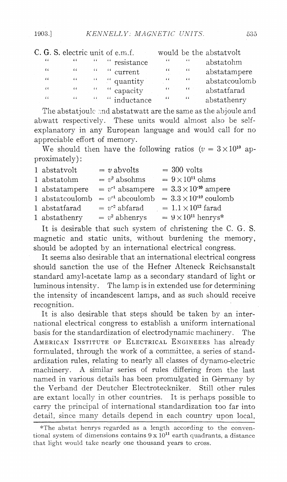|              | C. G. S. electric unit of e.m.f. |              |              |              |            |                              | would be the abstaty of |
|--------------|----------------------------------|--------------|--------------|--------------|------------|------------------------------|-------------------------|
| $\iota\iota$ | $\epsilon$                       |              |              | "resistance  | $\epsilon$ | 33                           | abstatohm               |
| 46           | $\epsilon$                       | - 4          | $\leftarrow$ | current      | $\epsilon$ | $\epsilon$                   | abstatampere            |
| $\epsilon$   | $\left\langle \right\rangle$     | $\leftarrow$ | $\epsilon$   | quantity     | $\epsilon$ | $\left\langle \right\rangle$ | abstatcoulomb           |
| 66           | $\epsilon$                       | 6.6          | $\epsilon$   | capacity     | $\epsilon$ | 66<                          | abstatfarad             |
| $\epsilon$   | $\epsilon$                       | 44           |              | " inductance | $\epsilon$ | $\epsilon$                   | abstathenry             |

The abstatjoule and abstatwatt are the same as the abjoule and abwatt respectively. These units would almost also be selfexplanatory in any European language and would call for no appreciable effort of memory.

We should then have the following ratios  $(v = 3 \times 10^{10}$  approximately):

| 1 abstatvolt    | $= v$ abvolts        | $=$ 300 volts                   |
|-----------------|----------------------|---------------------------------|
| 1 abstatohm     | $= v2$ absohms       | $= 9 \times 10^{11}$ ohms       |
| 1 abstatampere  | $= v^{-1}$ absampere | $= 3.3 \times 10^{-10}$ ampere  |
| 1 abstatcoulomb | $= v^{-1}$ abcoulomb | $= 3.3 \times 10^{-10}$ coulomb |
| 1 abstatfarad   | $= v2$ abfarad       | $= 1.1 \times 10^{12}$ farad    |
| 1 abstathenry   | $= v2$ abhenrys      | $= 9 \times 10^{11}$ henrys*    |

It is desirable that such system of christening the C. G. S. magnetic and static units, without burdening the memory, should be adopted by an international electrical congress.

It seems also desirable that an international electrical congress should sanction the use of the Hefner Alteneck Reichsanstalt standard amyl-acetate lamp as a secondary standard of light or luminous intensity. The lamp is in extended use for determining the intensity of incandescent lamps, and as such should receive recognition.

It is also desirable that steps should be taken by an international electrical congress to establish a uniform international basis for the standardization of electrodynamic machinery. The AMERICAN INSTITUTE OF ELECTRICAL ENGINEERS has already formulated, through the work of a committee, a series of standardization rules, relating to nearly all classes of dynamo-electric machinery. A similar series of rules differing from the last named in various details has been promulgated in Germany by the Verband der Deutcher Electroteckniker. Still other rules are extant locally in other countries. It is perhaps possible to carry the principal of international standardization too far into detail, since many details depend in each country upon local,

<sup>&</sup>quot;The abstat henrys regarded as a length according to the conventional system of dimensions contains  $9 \times 10^{11}$  earth quadrants, a distance that light would take nearly one thousand years to cross.